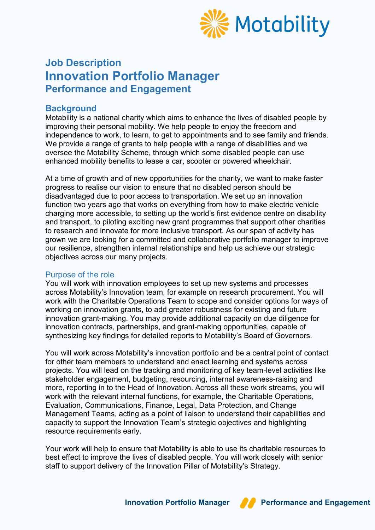

# **Job Description Innovation Portfolio Manager Performance and Engagement**

#### **Background**

Motability is a national charity which aims to enhance the lives of disabled people by improving their personal mobility. We help people to enjoy the freedom and independence to work, to learn, to get to appointments and to see family and friends. We provide a range of grants to help people with a range of disabilities and we oversee the Motability Scheme, through which some disabled people can use enhanced mobility benefits to lease a car, scooter or powered wheelchair.

At a time of growth and of new opportunities for the charity, we want to make faster progress to realise our vision to ensure that no disabled person should be disadvantaged due to poor access to transportation. We set up an innovation function two years ago that works on everything from how to make electric vehicle charging more accessible, to setting up the world's first evidence centre on disability and transport, to piloting exciting new grant programmes that support other charities to research and innovate for more inclusive transport. As our span of activity has grown we are looking for a committed and collaborative portfolio manager to improve our resilience, strengthen internal relationships and help us achieve our strategic objectives across our many projects.

#### Purpose of the role

You will work with innovation employees to set up new systems and processes across Motability's Innovation team, for example on research procurement. You will work with the Charitable Operations Team to scope and consider options for ways of working on innovation grants, to add greater robustness for existing and future innovation grant-making. You may provide additional capacity on due diligence for innovation contracts, partnerships, and grant-making opportunities, capable of synthesizing key findings for detailed reports to Motability's Board of Governors.

You will work across Motability's innovation portfolio and be a central point of contact for other team members to understand and enact learning and systems across projects. You will lead on the tracking and monitoring of key team-level activities like stakeholder engagement, budgeting, resourcing, internal awareness-raising and more, reporting in to the Head of Innovation. Across all these work streams, you will work with the relevant internal functions, for example, the Charitable Operations, Evaluation, Communications, Finance, Legal, Data Protection, and Change Management Teams, acting as a point of liaison to understand their capabilities and capacity to support the Innovation Team's strategic objectives and highlighting resource requirements early.

Your work will help to ensure that Motability is able to use its charitable resources to best effect to improve the lives of disabled people. You will work closely with senior staff to support delivery of the Innovation Pillar of Motability's Strategy.

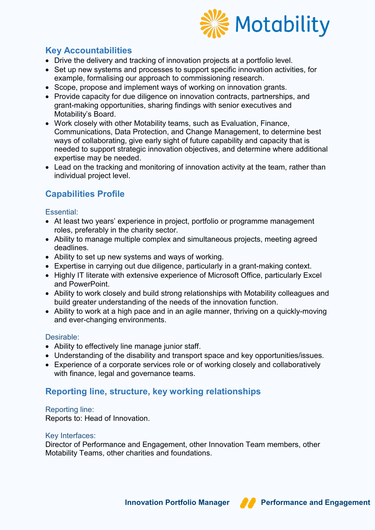

# **Key Accountabilities**

- Drive the delivery and tracking of innovation projects at a portfolio level.
- Set up new systems and processes to support specific innovation activities, for example, formalising our approach to commissioning research.
- Scope, propose and implement ways of working on innovation grants.
- Provide capacity for due diligence on innovation contracts, partnerships, and grant-making opportunities, sharing findings with senior executives and Motability's Board.
- Work closely with other Motability teams, such as Evaluation, Finance, Communications, Data Protection, and Change Management, to determine best ways of collaborating, give early sight of future capability and capacity that is needed to support strategic innovation objectives, and determine where additional expertise may be needed.
- Lead on the tracking and monitoring of innovation activity at the team, rather than individual project level.

## **Capabilities Profile**

#### Essential:

- At least two years' experience in project, portfolio or programme management roles, preferably in the charity sector.
- Ability to manage multiple complex and simultaneous projects, meeting agreed deadlines.
- Ability to set up new systems and ways of working.
- Expertise in carrying out due diligence, particularly in a grant-making context.
- Highly IT literate with extensive experience of Microsoft Office, particularly Excel and PowerPoint.
- Ability to work closely and build strong relationships with Motability colleagues and build greater understanding of the needs of the innovation function.
- Ability to work at a high pace and in an agile manner, thriving on a quickly-moving and ever-changing environments.

#### Desirable:

- Ability to effectively line manage junior staff.
- Understanding of the disability and transport space and key opportunities/issues.
- Experience of a corporate services role or of working closely and collaboratively with finance, legal and governance teams.

### **Reporting line, structure, key working relationships**

#### Reporting line:

Reports to: Head of Innovation.

#### Key Interfaces:

Director of Performance and Engagement, other Innovation Team members, other Motability Teams, other charities and foundations.